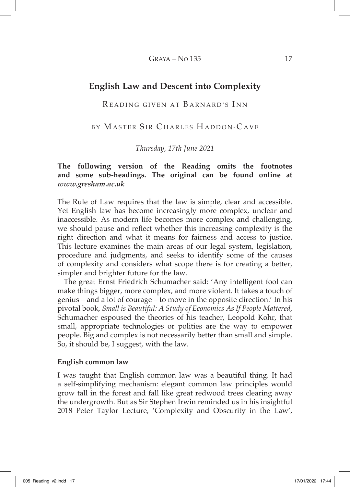# **English Law and Descent into Complexity**

READING GIVEN AT BARNARD'S INN

BY MASTER SIR CHARLES HADDON-CAVE

*Thursday, 17th June 2021*

# **The following version of the Reading omits the footnotes and some sub-headings. The original can be found online at**  *www.gresham.ac.uk*

The Rule of Law requires that the law is simple, clear and accessible. Yet English law has become increasingly more complex, unclear and inaccessible. As modern life becomes more complex and challenging, we should pause and reflect whether this increasing complexity is the right direction and what it means for fairness and access to justice. This lecture examines the main areas of our legal system, legislation, procedure and judgments, and seeks to identify some of the causes of complexity and considers what scope there is for creating a better, simpler and brighter future for the law.

The great Ernst Friedrich Schumacher said: 'Any intelligent fool can make things bigger, more complex, and more violent. It takes a touch of genius – and a lot of courage – to move in the opposite direction.' In his pivotal book, *Small is Beautiful: A Study of Economics As If People Mattered*, Schumacher espoused the theories of his teacher, Leopold Kohr, that small, appropriate technologies or polities are the way to empower people. Big and complex is not necessarily better than small and simple. So, it should be, I suggest, with the law.

#### **English common law**

I was taught that English common law was a beautiful thing. It had a self-simplifying mechanism: elegant common law principles would grow tall in the forest and fall like great redwood trees clearing away the undergrowth. But as Sir Stephen Irwin reminded us in his insightful 2018 Peter Taylor Lecture, 'Complexity and Obscurity in the Law',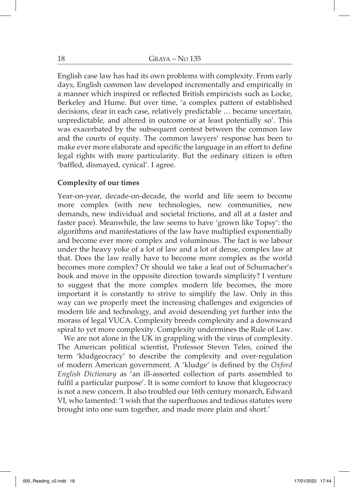English case law has had its own problems with complexity. From early days, English common law developed incrementally and empirically in a manner which inspired or reflected British empiricists such as Locke, Berkeley and Hume. But over time, 'a complex pattern of established decisions, clear in each case, relatively predictable … became uncertain, unpredictable, and altered in outcome or at least potentially so'. This was exacerbated by the subsequent contest between the common law and the courts of equity. The common lawyers' response has been to make ever more elaborate and specific the language in an effort to define legal rights with more particularity. But the ordinary citizen is often 'baffled, dismayed, cynical'. I agree.

### **Complexity of our times**

Year-on-year, decade-on-decade, the world and life seem to become more complex (with new technologies, new communities, new demands, new individual and societal frictions, and all at a faster and faster pace). Meanwhile, the law seems to have 'grown like Topsy': the algorithms and manifestations of the law have multiplied exponentially and become ever more complex and voluminous. The fact is we labour under the heavy yoke of a lot of law and a lot of dense, complex law at that. Does the law really have to become more complex as the world becomes more complex? Or should we take a leaf out of Schumacher's book and move in the opposite direction towards simplicity? I venture to suggest that the more complex modern life becomes, the more important it is constantly to strive to simplify the law. Only in this way can we properly meet the increasing challenges and exigencies of modern life and technology, and avoid descending yet further into the morass of legal VUCA. Complexity breeds complexity and a downward spiral to yet more complexity. Complexity undermines the Rule of Law.

We are not alone in the UK in grappling with the virus of complexity. The American political scientist, Professor Steven Teles, coined the term 'kludgeocracy' to describe the complexity and over-regulation of modern American government. A 'kludge' is defined by the *Oxford English Dictionary* as 'an ill-assorted collection of parts assembled to fulfil a particular purpose'. It is some comfort to know that klugeocracy is not a new concern. It also troubled our 16th century monarch, Edward VI, who lamented: 'I wish that the superfluous and tedious statutes were brought into one sum together, and made more plain and short.'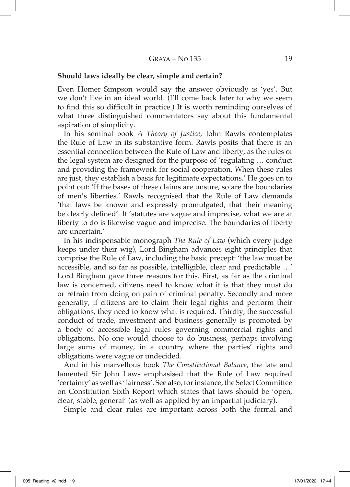#### **Should laws ideally be clear, simple and certain?**

Even Homer Simpson would say the answer obviously is 'yes'. But we don't live in an ideal world. (I'll come back later to why we seem to find this so difficult in practice.) It is worth reminding ourselves of what three distinguished commentators say about this fundamental aspiration of simplicity.

In his seminal book *A Theory of Justice*, John Rawls contemplates the Rule of Law in its substantive form. Rawls posits that there is an essential connection between the Rule of Law and liberty, as the rules of the legal system are designed for the purpose of 'regulating … conduct and providing the framework for social cooperation. When these rules are just, they establish a basis for legitimate expectations.' He goes on to point out: 'If the bases of these claims are unsure, so are the boundaries of men's liberties.' Rawls recognised that the Rule of Law demands 'that laws be known and expressly promulgated, that their meaning be clearly defined'. If 'statutes are vague and imprecise, what we are at liberty to do is likewise vague and imprecise. The boundaries of liberty are uncertain.'

In his indispensable monograph *The Rule of Law* (which every judge keeps under their wig), Lord Bingham advances eight principles that comprise the Rule of Law, including the basic precept: 'the law must be accessible, and so far as possible, intelligible, clear and predictable …' Lord Bingham gave three reasons for this. First, as far as the criminal law is concerned, citizens need to know what it is that they must do or refrain from doing on pain of criminal penalty. Secondly and more generally, if citizens are to claim their legal rights and perform their obligations, they need to know what is required. Thirdly, the successful conduct of trade, investment and business generally is promoted by a body of accessible legal rules governing commercial rights and obligations. No one would choose to do business, perhaps involving large sums of money, in a country where the parties' rights and obligations were vague or undecided.

And in his marvellous book *The Constitutional Balance*, the late and lamented Sir John Laws emphasised that the Rule of Law required 'certainty' as well as 'fairness'. See also, for instance, the Select Committee on Constitution Sixth Report which states that laws should be 'open, clear, stable, general' (as well as applied by an impartial judiciary).

Simple and clear rules are important across both the formal and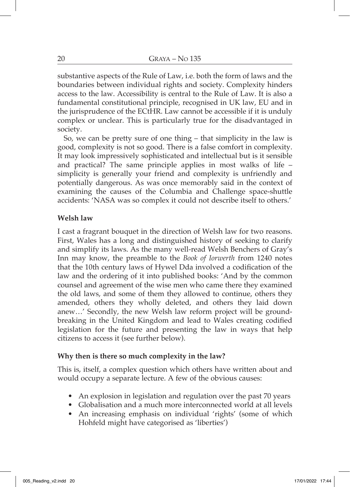substantive aspects of the Rule of Law, i.e. both the form of laws and the boundaries between individual rights and society. Complexity hinders access to the law. Accessibility is central to the Rule of Law. It is also a fundamental constitutional principle, recognised in UK law, EU and in the jurisprudence of the ECtHR. Law cannot be accessible if it is unduly complex or unclear. This is particularly true for the disadvantaged in society.

So, we can be pretty sure of one thing – that simplicity in the law is good, complexity is not so good. There is a false comfort in complexity. It may look impressively sophisticated and intellectual but is it sensible and practical? The same principle applies in most walks of life – simplicity is generally your friend and complexity is unfriendly and potentially dangerous. As was once memorably said in the context of examining the causes of the Columbia and Challenge space-shuttle accidents: 'NASA was so complex it could not describe itself to others.'

# **Welsh law**

I cast a fragrant bouquet in the direction of Welsh law for two reasons. First, Wales has a long and distinguished history of seeking to clarify and simplify its laws. As the many well-read Welsh Benchers of Gray's Inn may know, the preamble to the *Book of Iorwerth* from 1240 notes that the 10th century laws of Hywel Dda involved a codification of the law and the ordering of it into published books: 'And by the common counsel and agreement of the wise men who came there they examined the old laws, and some of them they allowed to continue, others they amended, others they wholly deleted, and others they laid down anew…' Secondly, the new Welsh law reform project will be groundbreaking in the United Kingdom and lead to Wales creating codified legislation for the future and presenting the law in ways that help citizens to access it (see further below).

## **Why then is there so much complexity in the law?**

This is, itself, a complex question which others have written about and would occupy a separate lecture. A few of the obvious causes:

- An explosion in legislation and regulation over the past 70 years
- Globalisation and a much more interconnected world at all levels
- An increasing emphasis on individual 'rights' (some of which Hohfeld might have categorised as 'liberties')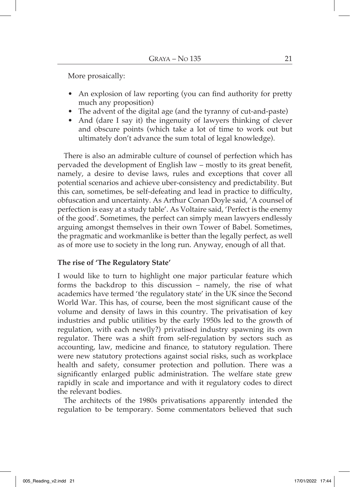More prosaically:

- An explosion of law reporting (you can find authority for pretty much any proposition)
- The advent of the digital age (and the tyranny of cut-and-paste)
- And (dare I say it) the ingenuity of lawyers thinking of clever and obscure points (which take a lot of time to work out but ultimately don't advance the sum total of legal knowledge).

There is also an admirable culture of counsel of perfection which has pervaded the development of English law – mostly to its great benefit, namely, a desire to devise laws, rules and exceptions that cover all potential scenarios and achieve uber-consistency and predictability. But this can, sometimes, be self-defeating and lead in practice to difficulty, obfuscation and uncertainty. As Arthur Conan Doyle said, 'A counsel of perfection is easy at a study table'. As Voltaire said, 'Perfect is the enemy of the good'. Sometimes, the perfect can simply mean lawyers endlessly arguing amongst themselves in their own Tower of Babel. Sometimes, the pragmatic and workmanlike is better than the legally perfect, as well as of more use to society in the long run. Anyway, enough of all that.

## **The rise of 'The Regulatory State'**

I would like to turn to highlight one major particular feature which forms the backdrop to this discussion – namely, the rise of what academics have termed 'the regulatory state' in the UK since the Second World War. This has, of course, been the most significant cause of the volume and density of laws in this country. The privatisation of key industries and public utilities by the early 1950s led to the growth of regulation, with each new(ly?) privatised industry spawning its own regulator. There was a shift from self-regulation by sectors such as accounting, law, medicine and finance, to statutory regulation. There were new statutory protections against social risks, such as workplace health and safety, consumer protection and pollution. There was a significantly enlarged public administration. The welfare state grew rapidly in scale and importance and with it regulatory codes to direct the relevant bodies.

The architects of the 1980s privatisations apparently intended the regulation to be temporary. Some commentators believed that such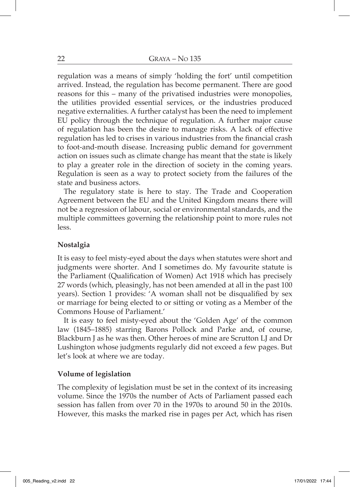regulation was a means of simply 'holding the fort' until competition arrived. Instead, the regulation has become permanent. There are good reasons for this – many of the privatised industries were monopolies, the utilities provided essential services, or the industries produced negative externalities. A further catalyst has been the need to implement EU policy through the technique of regulation. A further major cause of regulation has been the desire to manage risks. A lack of effective regulation has led to crises in various industries from the financial crash to foot-and-mouth disease. Increasing public demand for government action on issues such as climate change has meant that the state is likely to play a greater role in the direction of society in the coming years. Regulation is seen as a way to protect society from the failures of the state and business actors.

The regulatory state is here to stay. The Trade and Cooperation Agreement between the EU and the United Kingdom means there will not be a regression of labour, social or environmental standards, and the multiple committees governing the relationship point to more rules not less.

### **Nostalgia**

It is easy to feel misty-eyed about the days when statutes were short and judgments were shorter. And I sometimes do. My favourite statute is the Parliament (Qualification of Women) Act 1918 which has precisely 27 words (which, pleasingly, has not been amended at all in the past 100 years). Section 1 provides: 'A woman shall not be disqualified by sex or marriage for being elected to or sitting or voting as a Member of the Commons House of Parliament.'

It is easy to feel misty-eyed about the 'Golden Age' of the common law (1845–1885) starring Barons Pollock and Parke and, of course, Blackburn J as he was then. Other heroes of mine are Scrutton LJ and Dr Lushington whose judgments regularly did not exceed a few pages. But let's look at where we are today.

#### **Volume of legislation**

The complexity of legislation must be set in the context of its increasing volume. Since the 1970s the number of Acts of Parliament passed each session has fallen from over 70 in the 1970s to around 50 in the 2010s. However, this masks the marked rise in pages per Act, which has risen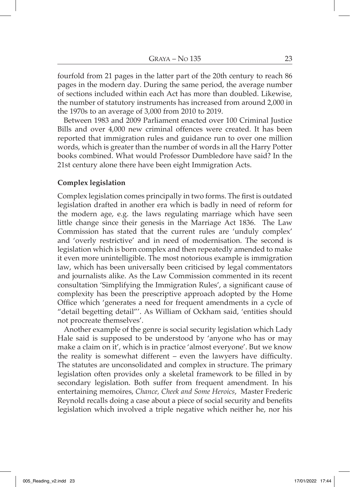fourfold from 21 pages in the latter part of the 20th century to reach 86 pages in the modern day. During the same period, the average number of sections included within each Act has more than doubled. Likewise, the number of statutory instruments has increased from around 2,000 in the 1970s to an average of 3,000 from 2010 to 2019.

Between 1983 and 2009 Parliament enacted over 100 Criminal Justice Bills and over 4,000 new criminal offences were created. It has been reported that immigration rules and guidance run to over one million words, which is greater than the number of words in all the Harry Potter books combined. What would Professor Dumbledore have said? In the 21st century alone there have been eight Immigration Acts.

#### **Complex legislation**

Complex legislation comes principally in two forms. The first is outdated legislation drafted in another era which is badly in need of reform for the modern age, e.g. the laws regulating marriage which have seen little change since their genesis in the Marriage Act 1836. The Law Commission has stated that the current rules are 'unduly complex' and 'overly restrictive' and in need of modernisation. The second is legislation which is born complex and then repeatedly amended to make it even more unintelligible. The most notorious example is immigration law, which has been universally been criticised by legal commentators and journalists alike. As the Law Commission commented in its recent consultation 'Simplifying the Immigration Rules', a significant cause of complexity has been the prescriptive approach adopted by the Home Office which 'generates a need for frequent amendments in a cycle of "detail begetting detail"'. As William of Ockham said, 'entities should not procreate themselves'.

Another example of the genre is social security legislation which Lady Hale said is supposed to be understood by 'anyone who has or may make a claim on it', which is in practice 'almost everyone'. But we know the reality is somewhat different – even the lawyers have difficulty. The statutes are unconsolidated and complex in structure. The primary legislation often provides only a skeletal framework to be filled in by secondary legislation. Both suffer from frequent amendment. In his entertaining memoires, *Chance, Cheek and Some Heroics*, Master Frederic Reynold recalls doing a case about a piece of social security and benefits legislation which involved a triple negative which neither he, nor his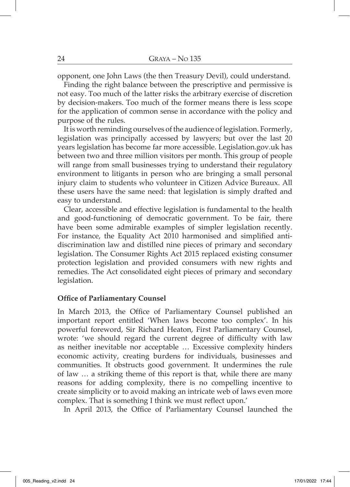opponent, one John Laws (the then Treasury Devil), could understand.

Finding the right balance between the prescriptive and permissive is not easy. Too much of the latter risks the arbitrary exercise of discretion by decision-makers. Too much of the former means there is less scope for the application of common sense in accordance with the policy and purpose of the rules.

It is worth reminding ourselves of the audience of legislation. Formerly, legislation was principally accessed by lawyers; but over the last 20 years legislation has become far more accessible. Legislation.gov.uk has between two and three million visitors per month. This group of people will range from small businesses trying to understand their regulatory environment to litigants in person who are bringing a small personal injury claim to students who volunteer in Citizen Advice Bureaux. All these users have the same need: that legislation is simply drafted and easy to understand.

Clear, accessible and effective legislation is fundamental to the health and good-functioning of democratic government. To be fair, there have been some admirable examples of simpler legislation recently. For instance, the Equality Act 2010 harmonised and simplified antidiscrimination law and distilled nine pieces of primary and secondary legislation. The Consumer Rights Act 2015 replaced existing consumer protection legislation and provided consumers with new rights and remedies. The Act consolidated eight pieces of primary and secondary legislation.

#### **Office of Parliamentary Counsel**

In March 2013, the Office of Parliamentary Counsel published an important report entitled 'When laws become too complex'. In his powerful foreword, Sir Richard Heaton, First Parliamentary Counsel, wrote: 'we should regard the current degree of difficulty with law as neither inevitable nor acceptable … Excessive complexity hinders economic activity, creating burdens for individuals, businesses and communities. It obstructs good government. It undermines the rule of law … a striking theme of this report is that, while there are many reasons for adding complexity, there is no compelling incentive to create simplicity or to avoid making an intricate web of laws even more complex. That is something I think we must reflect upon.'

In April 2013, the Office of Parliamentary Counsel launched the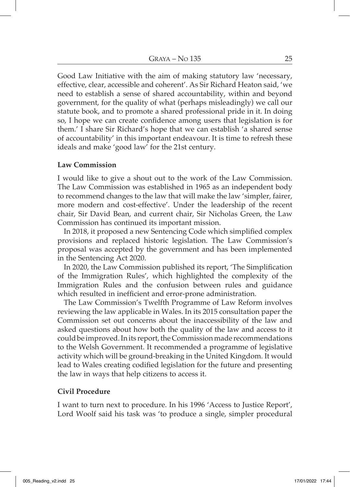Good Law Initiative with the aim of making statutory law 'necessary, effective, clear, accessible and coherent'. As Sir Richard Heaton said, 'we need to establish a sense of shared accountability, within and beyond government, for the quality of what (perhaps misleadingly) we call our statute book, and to promote a shared professional pride in it. In doing so, I hope we can create confidence among users that legislation is for them.' I share Sir Richard's hope that we can establish 'a shared sense of accountability' in this important endeavour. It is time to refresh these ideals and make 'good law' for the 21st century.

#### **Law Commission**

I would like to give a shout out to the work of the Law Commission. The Law Commission was established in 1965 as an independent body to recommend changes to the law that will make the law 'simpler, fairer, more modern and cost-effective'. Under the leadership of the recent chair, Sir David Bean, and current chair, Sir Nicholas Green, the Law Commission has continued its important mission.

In 2018, it proposed a new Sentencing Code which simplified complex provisions and replaced historic legislation. The Law Commission's proposal was accepted by the government and has been implemented in the Sentencing Act 2020.

In 2020, the Law Commission published its report, 'The Simplification of the Immigration Rules', which highlighted the complexity of the Immigration Rules and the confusion between rules and guidance which resulted in inefficient and error-prone administration.

The Law Commission's Twelfth Programme of Law Reform involves reviewing the law applicable in Wales. In its 2015 consultation paper the Commission set out concerns about the inaccessibility of the law and asked questions about how both the quality of the law and access to it could be improved. In its report, the Commission made recommendations to the Welsh Government. It recommended a programme of legislative activity which will be ground-breaking in the United Kingdom. It would lead to Wales creating codified legislation for the future and presenting the law in ways that help citizens to access it.

#### **Civil Procedure**

I want to turn next to procedure. In his 1996 'Access to Justice Report', Lord Woolf said his task was 'to produce a single, simpler procedural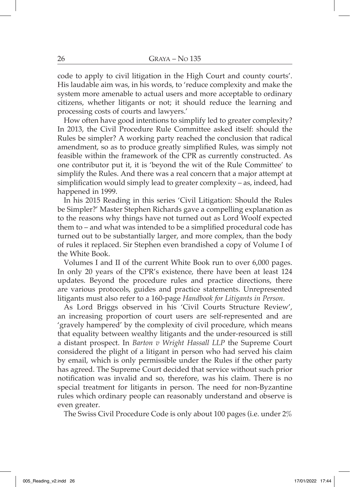code to apply to civil litigation in the High Court and county courts'. His laudable aim was, in his words, to 'reduce complexity and make the system more amenable to actual users and more acceptable to ordinary citizens, whether litigants or not; it should reduce the learning and processing costs of courts and lawyers.'

How often have good intentions to simplify led to greater complexity? In 2013, the Civil Procedure Rule Committee asked itself: should the Rules be simpler? A working party reached the conclusion that radical amendment, so as to produce greatly simplified Rules, was simply not feasible within the framework of the CPR as currently constructed. As one contributor put it, it is 'beyond the wit of the Rule Committee' to simplify the Rules. And there was a real concern that a major attempt at simplification would simply lead to greater complexity – as, indeed, had happened in 1999.

In his 2015 Reading in this series 'Civil Litigation: Should the Rules be Simpler?' Master Stephen Richards gave a compelling explanation as to the reasons why things have not turned out as Lord Woolf expected them to – and what was intended to be a simplified procedural code has turned out to be substantially larger, and more complex, than the body of rules it replaced. Sir Stephen even brandished a copy of Volume I of the White Book.

Volumes I and II of the current White Book run to over 6,000 pages. In only 20 years of the CPR's existence, there have been at least 124 updates. Beyond the procedure rules and practice directions, there are various protocols, guides and practice statements. Unrepresented litigants must also refer to a 160-page *Handbook for Litigants in Person*.

As Lord Briggs observed in his 'Civil Courts Structure Review', an increasing proportion of court users are self-represented and are 'gravely hampered' by the complexity of civil procedure, which means that equality between wealthy litigants and the under-resourced is still a distant prospect. In *Barton v Wright Hassall LLP* the Supreme Court considered the plight of a litigant in person who had served his claim by email, which is only permissible under the Rules if the other party has agreed. The Supreme Court decided that service without such prior notification was invalid and so, therefore, was his claim. There is no special treatment for litigants in person. The need for non-Byzantine rules which ordinary people can reasonably understand and observe is even greater.

The Swiss Civil Procedure Code is only about 100 pages (i.e. under 2%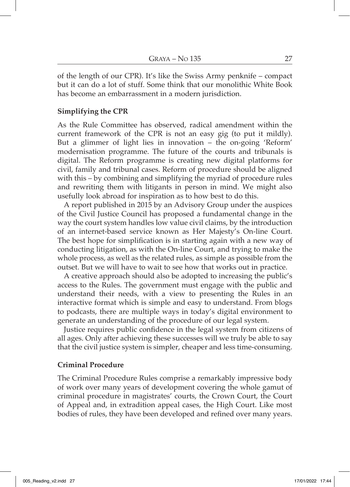of the length of our CPR). It's like the Swiss Army penknife – compact but it can do a lot of stuff. Some think that our monolithic White Book has become an embarrassment in a modern jurisdiction.

# **Simplifying the CPR**

As the Rule Committee has observed, radical amendment within the current framework of the CPR is not an easy gig (to put it mildly). But a glimmer of light lies in innovation – the on-going 'Reform' modernisation programme. The future of the courts and tribunals is digital. The Reform programme is creating new digital platforms for civil, family and tribunal cases. Reform of procedure should be aligned with this – by combining and simplifying the myriad of procedure rules and rewriting them with litigants in person in mind. We might also usefully look abroad for inspiration as to how best to do this.

A report published in 2015 by an Advisory Group under the auspices of the Civil Justice Council has proposed a fundamental change in the way the court system handles low value civil claims, by the introduction of an internet-based service known as Her Majesty's On-line Court. The best hope for simplification is in starting again with a new way of conducting litigation, as with the On-line Court, and trying to make the whole process, as well as the related rules, as simple as possible from the outset. But we will have to wait to see how that works out in practice.

A creative approach should also be adopted to increasing the public's access to the Rules. The government must engage with the public and understand their needs, with a view to presenting the Rules in an interactive format which is simple and easy to understand. From blogs to podcasts, there are multiple ways in today's digital environment to generate an understanding of the procedure of our legal system.

Justice requires public confidence in the legal system from citizens of all ages. Only after achieving these successes will we truly be able to say that the civil justice system is simpler, cheaper and less time-consuming.

## **Criminal Procedure**

The Criminal Procedure Rules comprise a remarkably impressive body of work over many years of development covering the whole gamut of criminal procedure in magistrates' courts, the Crown Court, the Court of Appeal and, in extradition appeal cases, the High Court. Like most bodies of rules, they have been developed and refined over many years.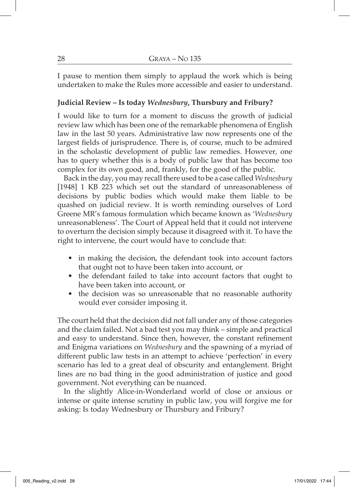I pause to mention them simply to applaud the work which is being undertaken to make the Rules more accessible and easier to understand.

# **Judicial Review – Is today** *Wednesbury***, Thursbury and Fribury?**

I would like to turn for a moment to discuss the growth of judicial review law which has been one of the remarkable phenomena of English law in the last 50 years. Administrative law now represents one of the largest fields of jurisprudence. There is, of course, much to be admired in the scholastic development of public law remedies. However, one has to query whether this is a body of public law that has become too complex for its own good, and, frankly, for the good of the public.

Back in the day, you may recall there used to be a case called *Wednesbury* [1948] 1 KB 223 which set out the standard of unreasonableness of decisions by public bodies which would make them liable to be quashed on judicial review. It is worth reminding ourselves of Lord Greene MR's famous formulation which became known as '*Wednesbury* unreasonableness'. The Court of Appeal held that it could not intervene to overturn the decision simply because it disagreed with it. To have the right to intervene, the court would have to conclude that:

- in making the decision, the defendant took into account factors that ought not to have been taken into account, or
- the defendant failed to take into account factors that ought to have been taken into account, or
- the decision was so unreasonable that no reasonable authority would ever consider imposing it.

The court held that the decision did not fall under any of those categories and the claim failed. Not a bad test you may think – simple and practical and easy to understand. Since then, however, the constant refinement and Enigma variations on *Wednesbury* and the spawning of a myriad of different public law tests in an attempt to achieve 'perfection' in every scenario has led to a great deal of obscurity and entanglement. Bright lines are no bad thing in the good administration of justice and good government. Not everything can be nuanced.

In the slightly Alice-in-Wonderland world of close or anxious or intense or quite intense scrutiny in public law, you will forgive me for asking: Is today Wednesbury or Thursbury and Fribury?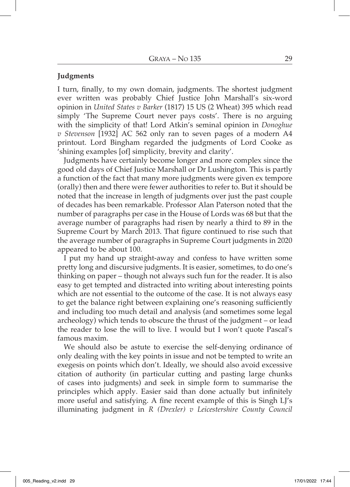### **Judgments**

I turn, finally, to my own domain, judgments. The shortest judgment ever written was probably Chief Justice John Marshall's six-word opinion in *United States v Barker* (1817) 15 US (2 Wheat) 395 which read simply 'The Supreme Court never pays costs'. There is no arguing with the simplicity of that! Lord Atkin's seminal opinion in *Donoghue v Stevenson* [1932] AC 562 only ran to seven pages of a modern A4 printout. Lord Bingham regarded the judgments of Lord Cooke as 'shining examples [of] simplicity, brevity and clarity'.

Judgments have certainly become longer and more complex since the good old days of Chief Justice Marshall or Dr Lushington. This is partly a function of the fact that many more judgments were given ex tempore (orally) then and there were fewer authorities to refer to. But it should be noted that the increase in length of judgments over just the past couple of decades has been remarkable. Professor Alan Paterson noted that the number of paragraphs per case in the House of Lords was 68 but that the average number of paragraphs had risen by nearly a third to 89 in the Supreme Court by March 2013. That figure continued to rise such that the average number of paragraphs in Supreme Court judgments in 2020 appeared to be about 100.

I put my hand up straight-away and confess to have written some pretty long and discursive judgments. It is easier, sometimes, to do one's thinking on paper – though not always such fun for the reader. It is also easy to get tempted and distracted into writing about interesting points which are not essential to the outcome of the case. It is not always easy to get the balance right between explaining one's reasoning sufficiently and including too much detail and analysis (and sometimes some legal archeology) which tends to obscure the thrust of the judgment – or lead the reader to lose the will to live. I would but I won't quote Pascal's famous maxim.

We should also be astute to exercise the self-denying ordinance of only dealing with the key points in issue and not be tempted to write an exegesis on points which don't. Ideally, we should also avoid excessive citation of authority (in particular cutting and pasting large chunks of cases into judgments) and seek in simple form to summarise the principles which apply. Easier said than done actually but infinitely more useful and satisfying. A fine recent example of this is Singh LJ's illuminating judgment in *R (Drexler) v Leicestershire County Council*